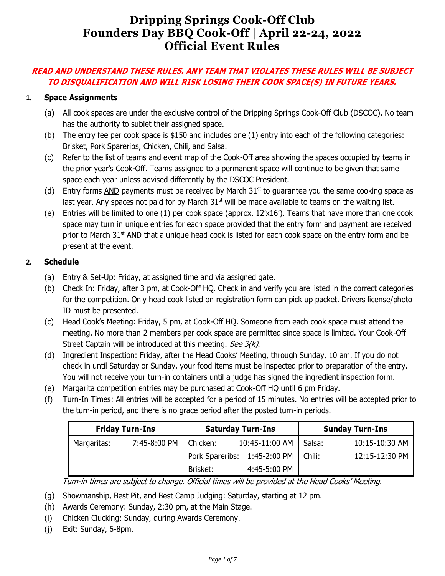# **Dripping Springs Cook-Off Club Founders Day BBQ Cook-Off | April 22-24, 2022 Official Event Rules**

# **READ AND UNDERSTAND THESE RULES. ANY TEAM THAT VIOLATES THESE RULES WILL BE SUBJECT TO DISQUALIFICATION AND WILL RISK LOSING THEIR COOK SPACE(S) IN FUTURE YEARS.**

# **1. Space Assignments**

- (a) All cook spaces are under the exclusive control of the Dripping Springs Cook-Off Club (DSCOC). No team has the authority to sublet their assigned space.
- (b) The entry fee per cook space is \$150 and includes one (1) entry into each of the following categories: Brisket, Pork Spareribs, Chicken, Chili, and Salsa.
- (c) Refer to the list of teams and event map of the Cook-Off area showing the spaces occupied by teams in the prior year's Cook-Off. Teams assigned to a permanent space will continue to be given that same space each year unless advised differently by the DSCOC President.
- (d) Entry forms AND payments must be received by March  $31<sup>st</sup>$  to quarantee you the same cooking space as last year. Any spaces not paid for by March  $31<sup>st</sup>$  will be made available to teams on the waiting list.
- (e) Entries will be limited to one  $(1)$  per cook space (approx.  $12'x16'$ ). Teams that have more than one cook space may turn in unique entries for each space provided that the entry form and payment are received prior to March  $31<sup>st</sup>$  AND that a unique head cook is listed for each cook space on the entry form and be present at the event.

## **2. Schedule**

- (a) Entry & Set-Up: Friday, at assigned time and via assigned gate.
- (b) Check In: Friday, after 3 pm, at Cook-Off HQ. Check in and verify you are listed in the correct categories for the competition. Only head cook listed on registration form can pick up packet. Drivers license/photo ID must be presented.
- (c) Head Cook's Meeting: Friday, 5 pm, at Cook-Off HQ. Someone from each cook space must attend the meeting. No more than 2 members per cook space are permitted since space is limited. Your Cook-Off Street Captain will be introduced at this meeting. See 3(k).
- (d) Ingredient Inspection: Friday, after the Head Cooks' Meeting, through Sunday, 10 am. If you do not check in until Saturday or Sunday, your food items must be inspected prior to preparation of the entry. You will not receive your turn-in containers until a judge has signed the ingredient inspection form.
- (e) Margarita competition entries may be purchased at Cook-Off HQ until 6 pm Friday.
- (f) Turn-In Times: All entries will be accepted for a period of 15 minutes. No entries will be accepted prior to the turn-in period, and there is no grace period after the posted turn-in periods.

| <b>Friday Turn-Ins</b> |              | <b>Saturday Turn-Ins</b>     |                | <b>Sunday Turn-Ins</b> |                |
|------------------------|--------------|------------------------------|----------------|------------------------|----------------|
| Margaritas:            | 7:45-8:00 PM | Chicken:                     | 10:45-11:00 AM | Salsa:                 | 10:15-10:30 AM |
|                        |              | Pork Spareribs: 1:45-2:00 PM |                | Chili:                 | 12:15-12:30 PM |
|                        |              | Brisket:                     | 4:45-5:00 PM   |                        |                |

Turn-in times are subject to change. Official times will be provided at the Head Cooks' Meeting.

- (g) Showmanship, Best Pit, and Best Camp Judging: Saturday, starting at 12 pm.
- (h) Awards Ceremony: Sunday, 2:30 pm, at the Main Stage.
- (i) Chicken Clucking: Sunday, during Awards Ceremony.
- (j) Exit: Sunday, 6-8pm.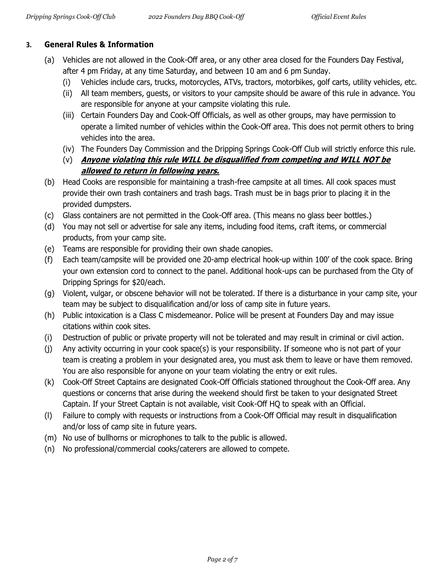# **3. General Rules & Information**

- (a) Vehicles are not allowed in the Cook-Off area, or any other area closed for the Founders Day Festival, after 4 pm Friday, at any time Saturday, and between 10 am and 6 pm Sunday.
	- (i) Vehicles include cars, trucks, motorcycles, ATVs, tractors, motorbikes, golf carts, utility vehicles, etc.
	- (ii) All team members, guests, or visitors to your campsite should be aware of this rule in advance. You are responsible for anyone at your campsite violating this rule.
	- (iii) Certain Founders Day and Cook-Off Officials, as well as other groups, may have permission to operate a limited number of vehicles within the Cook-Off area. This does not permit others to bring vehicles into the area.
	- (iv) The Founders Day Commission and the Dripping Springs Cook-Off Club will strictly enforce this rule.
	- (v) **Anyone violating this rule WILL be disqualified from competing and WILL NOT be allowed to return in following years.**
- (b) Head Cooks are responsible for maintaining a trash-free campsite at all times. All cook spaces must provide their own trash containers and trash bags. Trash must be in bags prior to placing it in the provided dumpsters.
- (c) Glass containers are not permitted in the Cook-Off area. (This means no glass beer bottles.)
- (d) You may not sell or advertise for sale any items, including food items, craft items, or commercial products, from your camp site.
- (e) Teams are responsible for providing their own shade canopies.
- (f) Each team/campsite will be provided one 20-amp electrical hook-up within 100' of the cook space. Bring your own extension cord to connect to the panel. Additional hook-ups can be purchased from the City of Dripping Springs for \$20/each.
- (g) Violent, vulgar, or obscene behavior will not be tolerated. If there is a disturbance in your camp site, your team may be subject to disqualification and/or loss of camp site in future years.
- (h) Public intoxication is a Class C misdemeanor. Police will be present at Founders Day and may issue citations within cook sites.
- (i) Destruction of public or private property will not be tolerated and may result in criminal or civil action.
- (j) Any activity occurring in your cook space(s) is your responsibility. If someone who is not part of your team is creating a problem in your designated area, you must ask them to leave or have them removed. You are also responsible for anyone on your team violating the entry or exit rules.
- (k) Cook-Off Street Captains are designated Cook-Off Officials stationed throughout the Cook-Off area. Any questions or concerns that arise during the weekend should first be taken to your designated Street Captain. If your Street Captain is not available, visit Cook-Off HQ to speak with an Official.
- (l) Failure to comply with requests or instructions from a Cook-Off Official may result in disqualification and/or loss of camp site in future years.
- (m) No use of bullhorns or microphones to talk to the public is allowed.
- (n) No professional/commercial cooks/caterers are allowed to compete.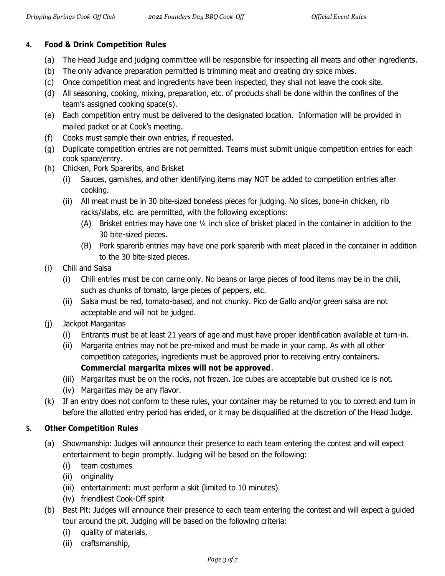# **4. Food & Drink Competition Rules**

- (a) The Head Judge and judging committee will be responsible for inspecting all meats and other ingredients.
- (b) The only advance preparation permitted is trimming meat and creating dry spice mixes.
- (c) Once competition meat and ingredients have been inspected, they shall not leave the cook site.
- (d) All seasoning, cooking, mixing, preparation, etc. of products shall be done within the confines of the team's assigned cooking space(s).
- (e) Each competition entry must be delivered to the designated location. Information will be provided in mailed packet or at Cook's meeting.
- (f) Cooks must sample their own entries, if requested.
- (g) Duplicate competition entries are not permitted. Teams must submit unique competition entries for each cook space/entry.
- (h) Chicken, Pork Spareribs, and Brisket
	- (i) Sauces, garnishes, and other identifying items may NOT be added to competition entries after cooking.
	- (ii) All meat must be in 30 bite-sized boneless pieces for judging. No slices, bone-in chicken, rib racks/slabs, etc. are permitted, with the following exceptions:
		- (A) Brisket entries may have one ¼ inch slice of brisket placed in the container in addition to the 30 bite-sized pieces.
		- (B) Pork sparerib entries may have one pork sparerib with meat placed in the container in addition to the 30 bite-sized pieces.
- (i) Chili and Salsa
	- (i) Chili entries must be con carne only. No beans or large pieces of food items may be in the chili, such as chunks of tomato, large pieces of peppers, etc.
	- (ii) Salsa must be red, tomato-based, and not chunky. Pico de Gallo and/or green salsa are not acceptable and will not be judged.
- (j) Jackpot Margaritas
	- (i) Entrants must be at least 21 years of age and must have proper identification available at turn-in.
	- (ii) Margarita entries may not be pre-mixed and must be made in your camp. As with all other competition categories, ingredients must be approved prior to receiving entry containers. **Commercial margarita mixes will not be approved**.
	- (iii) Margaritas must be on the rocks, not frozen. Ice cubes are acceptable but crushed ice is not.
	- (iv) Margaritas may be any flavor.
- (k) If an entry does not conform to these rules, your container may be returned to you to correct and turn in before the allotted entry period has ended, or it may be disqualified at the discretion of the Head Judge.

# **5. Other Competition Rules**

- (a) Showmanship: Judges will announce their presence to each team entering the contest and will expect entertainment to begin promptly. Judging will be based on the following:
	- (i) team costumes
	- (ii) originality
	- (iii) entertainment: must perform a skit (limited to 10 minutes)
	- (iv) friendliest Cook-Off spirit
- (b) Best Pit: Judges will announce their presence to each team entering the contest and will expect a guided tour around the pit. Judging will be based on the following criteria:
	- (i) quality of materials,
	- (ii) craftsmanship,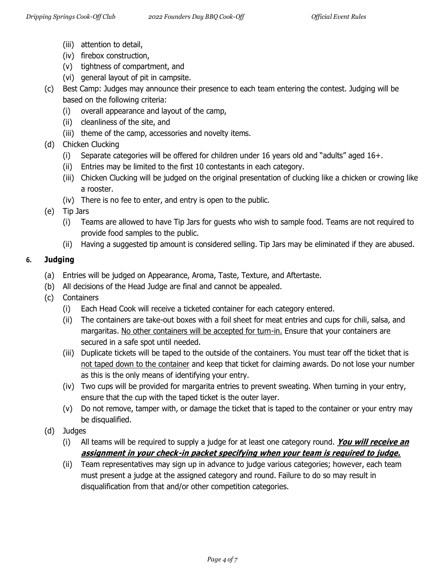- (iii) attention to detail,
- (iv) firebox construction,
- (v) tightness of compartment, and
- (vi) general layout of pit in campsite.
- (c) Best Camp: Judges may announce their presence to each team entering the contest. Judging will be based on the following criteria:
	- (i) overall appearance and layout of the camp,
	- (ii) cleanliness of the site, and
	- (iii) theme of the camp, accessories and novelty items.
- (d) Chicken Clucking
	- (i) Separate categories will be offered for children under 16 years old and "adults" aged 16+.
	- (ii) Entries may be limited to the first 10 contestants in each category.
	- (iii) Chicken Clucking will be judged on the original presentation of clucking like a chicken or crowing like a rooster.
	- (iv) There is no fee to enter, and entry is open to the public.
- (e) Tip Jars
	- (i) Teams are allowed to have Tip Jars for guests who wish to sample food. Teams are not required to provide food samples to the public.
	- (ii) Having a suggested tip amount is considered selling. Tip Jars may be eliminated if they are abused.

## **6. Judging**

- (a) Entries will be judged on Appearance, Aroma, Taste, Texture, and Aftertaste.
- (b) All decisions of the Head Judge are final and cannot be appealed.
- (c) Containers
	- (i) Each Head Cook will receive a ticketed container for each category entered.
	- (ii) The containers are take-out boxes with a foil sheet for meat entries and cups for chili, salsa, and margaritas. No other containers will be accepted for turn-in. Ensure that your containers are secured in a safe spot until needed.
	- (iii) Duplicate tickets will be taped to the outside of the containers. You must tear off the ticket that is not taped down to the container and keep that ticket for claiming awards. Do not lose your number as this is the only means of identifying your entry.
	- (iv) Two cups will be provided for margarita entries to prevent sweating. When turning in your entry, ensure that the cup with the taped ticket is the outer layer.
	- (v) Do not remove, tamper with, or damage the ticket that is taped to the container or your entry may be disqualified.
- (d) Judges
	- (i) All teams will be required to supply a judge for at least one category round. **You will receive an assignment in your check-in packet specifying when your team is required to judge.**
	- (ii) Team representatives may sign up in advance to judge various categories; however, each team must present a judge at the assigned category and round. Failure to do so may result in disqualification from that and/or other competition categories.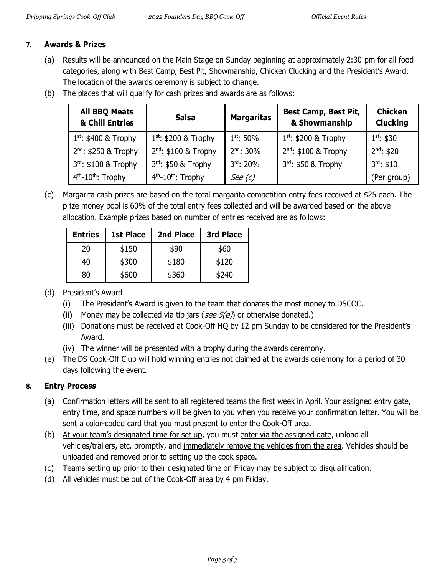## **7. Awards & Prizes**

- (a) Results will be announced on the Main Stage on Sunday beginning at approximately 2:30 pm for all food categories, along with Best Camp, Best Pit, Showmanship, Chicken Clucking and the President's Award. The location of the awards ceremony is subject to change.
- (b) The places that will qualify for cash prizes and awards are as follows:

| <b>All BBQ Meats</b><br>& Chili Entries | <b>Salsa</b>                               | <b>Margaritas</b> | <b>Best Camp, Best Pit,</b><br>& Showmanship | <b>Chicken</b><br><b>Clucking</b> |
|-----------------------------------------|--------------------------------------------|-------------------|----------------------------------------------|-----------------------------------|
| $1^{st}$ : \$400 & Trophy               | $1^{st}$ : \$200 & Trophy                  | $1^{st}$ : 50%    | $1^{st}$ : \$200 & Trophy                    | $1^{st}$ : \$30                   |
| $2^{nd}$ : \$250 & Trophy               | $2^{nd}$ : \$100 & Trophy                  | $2^{nd}$ : 30%    | 2 <sup>nd</sup> : \$100 & Trophy             | $2^{nd}$ : \$20                   |
| 3rd: \$100 & Trophy                     | 3rd: \$50 & Trophy                         | $3rd$ : 20%       | 3rd: \$50 & Trophy                           | $3^{rd}$ : \$10                   |
| $4th$ -10 <sup>th</sup> : Trophy        | 4 <sup>th</sup> -10 <sup>th</sup> : Trophy | See $(c)$         |                                              | (Per group)                       |

(c) Margarita cash prizes are based on the total margarita competition entry fees received at \$25 each. The prize money pool is 60% of the total entry fees collected and will be awarded based on the above allocation. Example prizes based on number of entries received are as follows:

| <b>Entries</b> | <b>1st Place</b> | 2nd Place | <b>3rd Place</b> |
|----------------|------------------|-----------|------------------|
| 20             | \$150            | \$90      | \$60             |
| 40             | \$300            | \$180     | \$120            |
| 80             | \$600            | \$360     | \$240            |

## (d) President's Award

- (i) The President's Award is given to the team that donates the most money to DSCOC.
- (ii) Money may be collected via tip jars (see  $5(e)$ ) or otherwise donated.)
- (iii) Donations must be received at Cook-Off HQ by 12 pm Sunday to be considered for the President's Award.
- (iv) The winner will be presented with a trophy during the awards ceremony.
- (e) The DS Cook-Off Club will hold winning entries not claimed at the awards ceremony for a period of 30 days following the event.

## **8. Entry Process**

- (a) Confirmation letters will be sent to all registered teams the first week in April. Your assigned entry gate, entry time, and space numbers will be given to you when you receive your confirmation letter. You will be sent a color-coded card that you must present to enter the Cook-Off area.
- (b) At your team's designated time for set up, you must enter via the assigned gate, unload all vehicles/trailers, etc. promptly, and immediately remove the vehicles from the area. Vehicles should be unloaded and removed prior to setting up the cook space.
- (c) Teams setting up prior to their designated time on Friday may be subject to disqualification.
- (d) All vehicles must be out of the Cook-Off area by 4 pm Friday.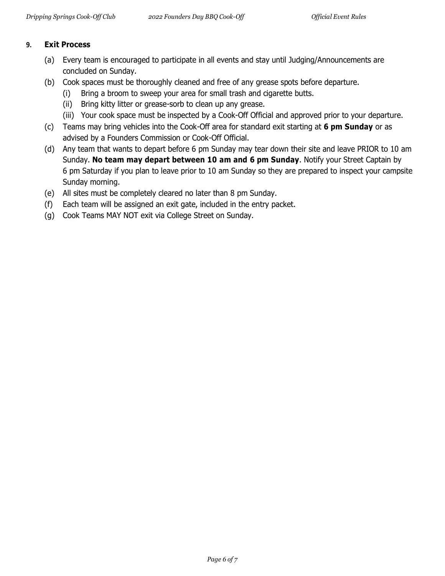#### **9. Exit Process**

- (a) Every team is encouraged to participate in all events and stay until Judging/Announcements are concluded on Sunday.
- (b) Cook spaces must be thoroughly cleaned and free of any grease spots before departure.
	- (i) Bring a broom to sweep your area for small trash and cigarette butts.
	- (ii) Bring kitty litter or grease-sorb to clean up any grease.
	- (iii) Your cook space must be inspected by a Cook-Off Official and approved prior to your departure.
- (c) Teams may bring vehicles into the Cook-Off area for standard exit starting at **6 pm Sunday** or as advised by a Founders Commission or Cook-Off Official.
- (d) Any team that wants to depart before 6 pm Sunday may tear down their site and leave PRIOR to 10 am Sunday. **No team may depart between 10 am and 6 pm Sunday**. Notify your Street Captain by 6 pm Saturday if you plan to leave prior to 10 am Sunday so they are prepared to inspect your campsite Sunday morning.
- (e) All sites must be completely cleared no later than 8 pm Sunday.
- (f) Each team will be assigned an exit gate, included in the entry packet.
- (g) Cook Teams MAY NOT exit via College Street on Sunday.